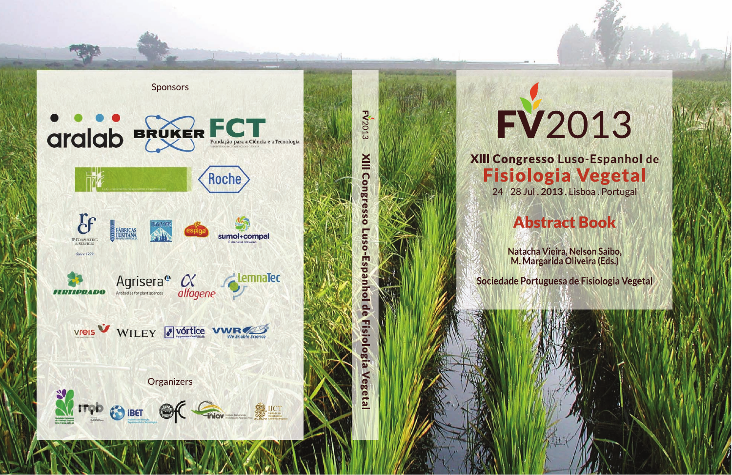

**FV2013 NIII** Cong ō **gia** seta

## FV2013

XIII Congresso Luso-Espanhol de **Fisiologia Vegetal** 24 - 28 Jul. 2013. Lisboa. Portugal

## **Abstract Book**

Natacha Vieira. Nelson Saibo. M. Margarida Oliveira (Eds.)

Sociedade Portuguesa de Fisiologia Vegetal